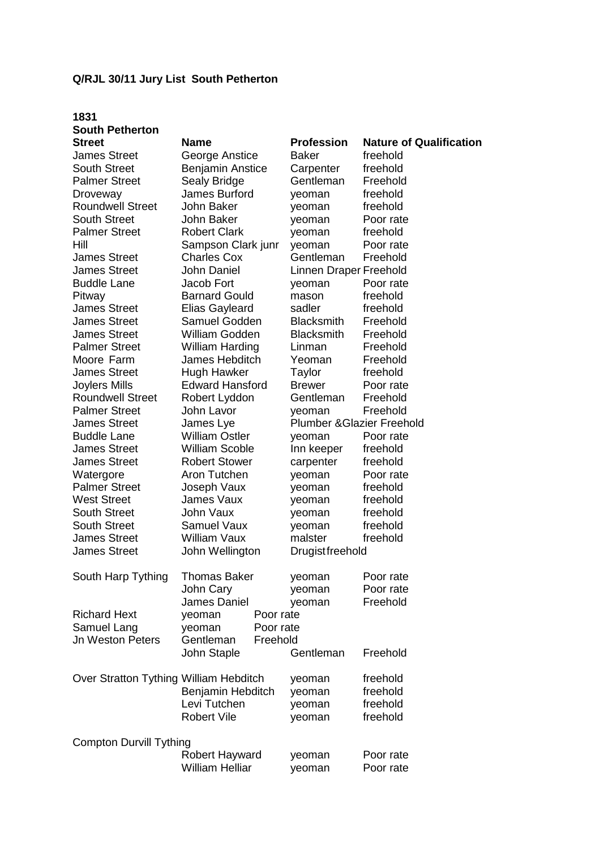## **Q/RJL 30/11 Jury List South Petherton**

# **1831 South Petherton**

| <b>James Street</b>                    | George Anstice                                        |    |
|----------------------------------------|-------------------------------------------------------|----|
| <b>South Street</b>                    | <b>Benjamin Anstice</b>                               |    |
| <b>Palmer Street</b>                   | Sealy Bridge                                          |    |
| Droveway                               | James Burford                                         |    |
| <b>Roundwell Street</b>                | John Baker                                            |    |
| <b>South Street</b>                    | John Baker                                            |    |
| <b>Palmer Street</b>                   | <b>Robert Clark</b>                                   |    |
| Hill                                   | Sampson Clark ji                                      |    |
| <b>James Street</b>                    | <b>Charles Cox</b>                                    |    |
| <b>James Street</b>                    | <b>John Daniel</b>                                    |    |
| <b>Buddle Lane</b>                     | Jacob Fort                                            |    |
| Pitway                                 | <b>Barnard Gould</b>                                  |    |
| <b>James Street</b>                    | <b>Elias Gayleard</b>                                 |    |
| <b>James Street</b>                    | Samuel Godden                                         |    |
| <b>James Street</b>                    | William Godden                                        |    |
| <b>Palmer Street</b>                   | William Harding                                       |    |
| Moore Farm                             | James Hebditch                                        |    |
| <b>James Street</b>                    | Hugh Hawker                                           |    |
| Joylers Mills                          | <b>Edward Hansford</b>                                |    |
| <b>Roundwell Street</b>                | Robert Lyddon                                         |    |
| <b>Palmer Street</b>                   | John Lavor                                            |    |
| <b>James Street</b>                    | James Lye                                             |    |
| <b>Buddle Lane</b>                     | <b>William Ostler</b>                                 |    |
|                                        | <b>William Scoble</b>                                 |    |
| <b>James Street</b>                    |                                                       |    |
| <b>James Street</b>                    | <b>Robert Stower</b>                                  |    |
| Watergore                              | Aron Tutchen                                          |    |
| <b>Palmer Street</b>                   | Joseph Vaux                                           |    |
| <b>West Street</b>                     | James Vaux                                            |    |
| <b>South Street</b>                    | John Vaux                                             |    |
| <b>South Street</b>                    | <b>Samuel Vaux</b>                                    |    |
| <b>James Street</b>                    | <b>William Vaux</b>                                   |    |
| <b>James Street</b>                    | John Wellington                                       |    |
| South Harp Tything                     | Thomas Baker<br>John Cary                             |    |
|                                        | James Daniel                                          |    |
| <b>Richard Hext</b>                    | yeoman                                                | Pς |
| Samuel Lang                            | yeoman                                                | Pς |
| <b>Jn Weston Peters</b>                | Gentleman                                             | Fr |
|                                        | John Staple                                           |    |
| Over Stratton Tything William Hebditch | Benjamin Hebdit<br>Levi Tutchen<br><b>Robert Vile</b> |    |
|                                        |                                                       |    |

**Street Mame Name Profession Nature of Qualification** Baker freehold e Carpenter freehold Gentleman Freehold yeoman freehold yeoman freehold yeoman Poor rate yeoman freehold unr yeoman Poor rate Gentleman Freehold Linnen Draper Freehold yeoman Poor rate mason freehold sadler freehold Blacksmith Freehold Blacksmith Freehold Linman Freehold Yeoman Freehold Taylor freehold Joylers Mills Edward Hansford Brewer Poor rate Gentleman Freehold yeoman Freehold Plumber &Glazier Freehold yeoman Poor rate Inn keeper freehold carpenter freehold yeoman Poor rate yeoman freehold yeoman freehold yeoman freehold<br>veoman freehold yeoman malster freehold **Drugist freehold** yeoman Poor rate yeoman Poor rate veoman Freehold por rate por rate reehold Gentleman Freehold yeoman freehold ch yeoman freehold veoman freehold

yeoman freehold

# Compton Durvill Tything Robert Hayward yeoman Poor rate William Helliar yeoman Poor rate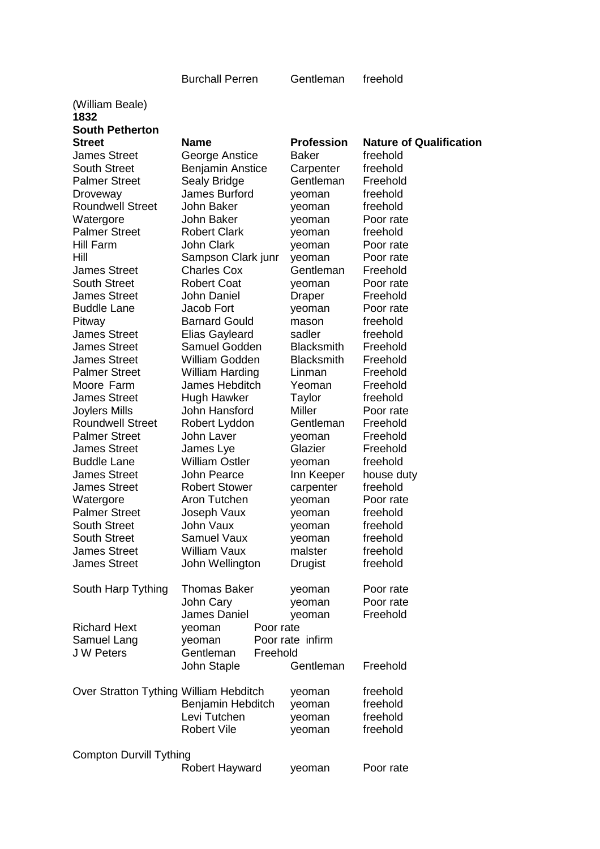### Burchall Perren Gentleman freehold

(William Beale) **1832 South Petherton**  James Street George Anstice Baker freehold South Street **Benjamin Anstice** Carpenter freehold Palmer Street Sealy Bridge Gentleman Freehold Droveway James Burford yeoman freehold Roundwell Street John Baker veoman freehold<br>
Watergore John Baker veoman Poor rate Watergore **John Baker yeoman** Palmer Street Robert Clark yeoman freehold Hill Farm **John Clark** yeoman Poor rate Hill Sampson Clark junr yeoman Poor rate James Street Charles Cox Gentleman Freehold South Street Robert Coat yeoman Poor rate James Street John Daniel Draper Freehold Buddle Lane Jacob Fort yeoman Poor rate Pitway **Barnard Gould** mason freehold James Street Elias Gayleard sadler freehold James Street Samuel Godden Blacksmith Freehold James Street William Godden Blacksmith Freehold Palmer Street William Harding Linman Freehold Moore Farm James Hebditch Yeoman Freehold James Street Hugh Hawker Taylor freehold Joylers Mills John Hansford Miller Poor rate Roundwell Street Robert Lyddon Gentleman Freehold Palmer Street John Laver veoman Freehold James Street James Lye Glazier Freehold Buddle Lane William Ostler yeoman freehold James Street John Pearce Inn Keeper house duty James Street Robert Stower carpenter freehold Watergore **Aron Tutchen** yeoman Poor rate Palmer Street and Joseph Vaux by veoman by the freehold freehold south Street and Street and Treehold and the V<br>South Street and John Vaux by veoman by the freehold South Street John Vaux yeoman freehold South Street Samuel Vaux veoman freehold James Street William Vaux malster freehold James Street John Wellington Drugist freehold South Harp Tything Thomas Baker yeoman Poor rate Richard Hext yeoman Poor rate Samuel Lang veoman Poor rate infirm J W Peters Gentleman Freehold Over Stratton Tything William Hebditch veoman freehold

**Street Name Profession Nature of Qualification**  John Cary yeoman Poor rate James Daniel yeoman Freehold John Staple Gentleman Freehold Benjamin Hebditch veoman freehold Levi Tutchen yeoman freehold Robert Vile veoman freehold

Compton Durvill Tything

Robert Hayward yeoman Poor rate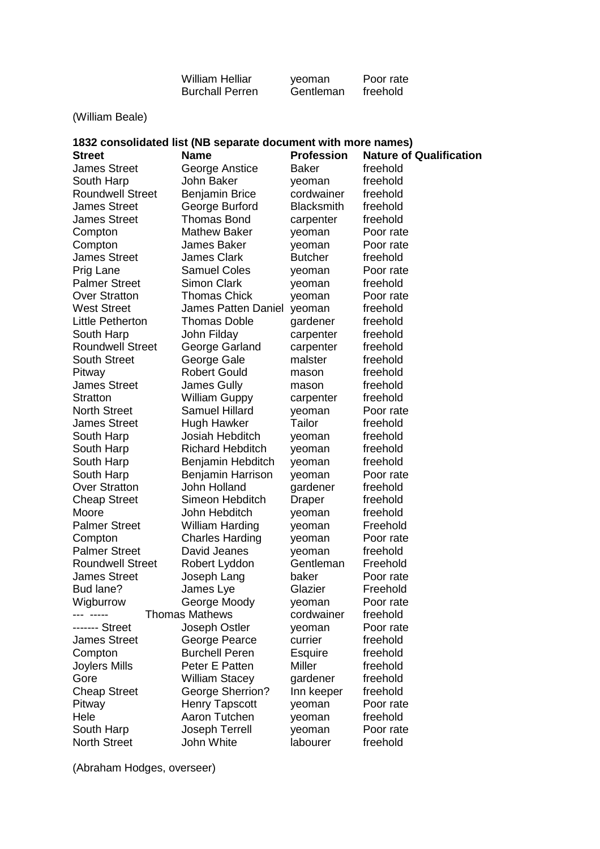| <b>William Helliar</b> | veoman    | Poor rate |
|------------------------|-----------|-----------|
| <b>Burchall Perren</b> | Gentleman | freehold  |

| (William Beale)                                                                                                                                      |                         |                   |           |  |  |
|------------------------------------------------------------------------------------------------------------------------------------------------------|-------------------------|-------------------|-----------|--|--|
| 1832 consolidated list (NB separate document with more names)<br><b>Name</b><br><b>Profession</b><br><b>Nature of Qualification</b><br><b>Street</b> |                         |                   |           |  |  |
| <b>James Street</b>                                                                                                                                  | George Anstice          | Baker             | freehold  |  |  |
| South Harp                                                                                                                                           | John Baker              | yeoman            | freehold  |  |  |
| <b>Roundwell Street</b>                                                                                                                              | <b>Benjamin Brice</b>   | cordwainer        | freehold  |  |  |
| <b>James Street</b>                                                                                                                                  | George Burford          | <b>Blacksmith</b> | freehold  |  |  |
| <b>James Street</b>                                                                                                                                  | <b>Thomas Bond</b>      | carpenter         | freehold  |  |  |
| Compton                                                                                                                                              | <b>Mathew Baker</b>     | yeoman            | Poor rate |  |  |
| Compton                                                                                                                                              | James Baker             | yeoman            | Poor rate |  |  |
| <b>James Street</b>                                                                                                                                  | <b>James Clark</b>      | <b>Butcher</b>    | freehold  |  |  |
| Prig Lane                                                                                                                                            | <b>Samuel Coles</b>     | yeoman            | Poor rate |  |  |
| <b>Palmer Street</b>                                                                                                                                 | <b>Simon Clark</b>      | yeoman            | freehold  |  |  |
| <b>Over Stratton</b>                                                                                                                                 | <b>Thomas Chick</b>     | yeoman            | Poor rate |  |  |
| <b>West Street</b>                                                                                                                                   | James Patten Daniel     | yeoman            | freehold  |  |  |
| Little Petherton                                                                                                                                     | <b>Thomas Doble</b>     | gardener          | freehold  |  |  |
| South Harp                                                                                                                                           | John Filday             | carpenter         | freehold  |  |  |
| <b>Roundwell Street</b>                                                                                                                              | George Garland          | carpenter         | freehold  |  |  |
| <b>South Street</b>                                                                                                                                  | George Gale             | malster           | freehold  |  |  |
| Pitway                                                                                                                                               | <b>Robert Gould</b>     | mason             | freehold  |  |  |
| <b>James Street</b>                                                                                                                                  | James Gully             | mason             | freehold  |  |  |
| <b>Stratton</b>                                                                                                                                      | <b>William Guppy</b>    | carpenter         | freehold  |  |  |
| <b>North Street</b>                                                                                                                                  | <b>Samuel Hillard</b>   | yeoman            | Poor rate |  |  |
| <b>James Street</b>                                                                                                                                  | <b>Hugh Hawker</b>      | Tailor            | freehold  |  |  |
| South Harp                                                                                                                                           | Josiah Hebditch         | yeoman            | freehold  |  |  |
| South Harp                                                                                                                                           | <b>Richard Hebditch</b> | yeoman            | freehold  |  |  |
| South Harp                                                                                                                                           | Benjamin Hebditch       | yeoman            | freehold  |  |  |
| South Harp                                                                                                                                           | Benjamin Harrison       | yeoman            | Poor rate |  |  |
| <b>Over Stratton</b>                                                                                                                                 | John Holland            | gardener          | freehold  |  |  |
| <b>Cheap Street</b>                                                                                                                                  | Simeon Hebditch         | Draper            | freehold  |  |  |
| Moore                                                                                                                                                | John Hebditch           | yeoman            | freehold  |  |  |
| <b>Palmer Street</b>                                                                                                                                 | <b>William Harding</b>  | yeoman            | Freehold  |  |  |
| Compton                                                                                                                                              | <b>Charles Harding</b>  | yeoman            | Poor rate |  |  |
| <b>Palmer Street</b>                                                                                                                                 | David Jeanes            | yeoman            | freehold  |  |  |
| <b>Roundwell Street</b>                                                                                                                              | Robert Lyddon           | Gentleman         | Freehold  |  |  |
| <b>James Street</b>                                                                                                                                  | Joseph Lang             | baker             | Poor rate |  |  |
| Bud lane?                                                                                                                                            | James Lye               | Glazier           | Freehold  |  |  |
| Wigburrow                                                                                                                                            | George Moody            | yeoman            | Poor rate |  |  |
|                                                                                                                                                      | <b>Thomas Mathews</b>   | cordwainer        | freehold  |  |  |
| ------- Street                                                                                                                                       | Joseph Ostler           | yeoman            | Poor rate |  |  |
| <b>James Street</b>                                                                                                                                  | George Pearce           | currier           | freehold  |  |  |
| Compton                                                                                                                                              | <b>Burchell Peren</b>   | Esquire           | freehold  |  |  |
| Joylers Mills                                                                                                                                        | Peter E Patten          | Miller            | freehold  |  |  |
| Gore                                                                                                                                                 | <b>William Stacey</b>   | gardener          | freehold  |  |  |
| <b>Cheap Street</b>                                                                                                                                  | <b>George Sherrion?</b> | Inn keeper        | freehold  |  |  |
| Pitway                                                                                                                                               | <b>Henry Tapscott</b>   | yeoman            | Poor rate |  |  |
| Hele                                                                                                                                                 | Aaron Tutchen           | yeoman            | freehold  |  |  |
| South Harp                                                                                                                                           | Joseph Terrell          | yeoman            | Poor rate |  |  |

South Harp Joseph Terrell yeoman Poor rate North Street **John White** labourer freehold

(Abraham Hodges, overseer)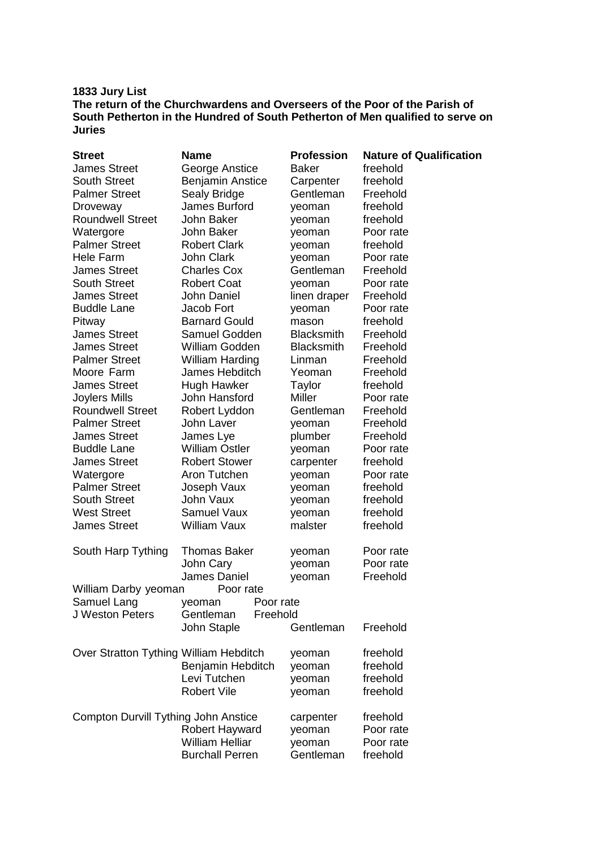## **1833 Jury List The return of the Churchwardens and Overseers of the Poor of the Parish of South Petherton in the Hundred of South Petherton of Men qualified to serve on Juries**

| <b>Street</b>                          | <b>Name</b>                                                          | <b>Profession</b> | <b>Nature of Qualification</b> |  |
|----------------------------------------|----------------------------------------------------------------------|-------------------|--------------------------------|--|
| <b>James Street</b>                    | George Anstice                                                       | <b>Baker</b>      | freehold                       |  |
| <b>South Street</b>                    | <b>Benjamin Anstice</b>                                              | Carpenter         | freehold                       |  |
| <b>Palmer Street</b>                   | Sealy Bridge                                                         | Gentleman         | Freehold                       |  |
| Droveway                               | James Burford                                                        | yeoman            | freehold                       |  |
| <b>Roundwell Street</b>                | John Baker                                                           | yeoman            | freehold                       |  |
| Watergore                              | John Baker                                                           | yeoman            | Poor rate                      |  |
| <b>Palmer Street</b>                   | <b>Robert Clark</b>                                                  | yeoman            | freehold                       |  |
| Hele Farm                              | <b>John Clark</b>                                                    | yeoman            | Poor rate                      |  |
| <b>James Street</b>                    | <b>Charles Cox</b>                                                   | Gentleman         | Freehold                       |  |
| <b>South Street</b>                    | <b>Robert Coat</b>                                                   | yeoman            | Poor rate                      |  |
| <b>James Street</b>                    | <b>John Daniel</b>                                                   | linen draper      | Freehold                       |  |
| <b>Buddle Lane</b>                     | Jacob Fort                                                           | yeoman            | Poor rate                      |  |
| Pitway                                 | <b>Barnard Gould</b>                                                 | mason             | freehold                       |  |
| <b>James Street</b>                    | Samuel Godden                                                        | <b>Blacksmith</b> | Freehold                       |  |
| <b>James Street</b>                    | William Godden                                                       | <b>Blacksmith</b> | Freehold                       |  |
| <b>Palmer Street</b>                   | <b>William Harding</b>                                               |                   | Freehold                       |  |
| Moore Farm                             | James Hebditch                                                       | Linman<br>Yeoman  | Freehold                       |  |
|                                        |                                                                      |                   |                                |  |
| <b>James Street</b>                    | Hugh Hawker                                                          | Taylor            | freehold                       |  |
| Joylers Mills                          | John Hansford                                                        | <b>Miller</b>     | Poor rate                      |  |
| <b>Roundwell Street</b>                | Robert Lyddon                                                        | Gentleman         | Freehold                       |  |
| <b>Palmer Street</b>                   | John Laver                                                           | yeoman            | Freehold                       |  |
| <b>James Street</b>                    | James Lye                                                            | plumber           | Freehold                       |  |
| <b>Buddle Lane</b>                     | <b>William Ostler</b>                                                | yeoman            | Poor rate                      |  |
| <b>James Street</b>                    | <b>Robert Stower</b>                                                 | carpenter         | freehold                       |  |
| Watergore                              | Aron Tutchen                                                         | yeoman            | Poor rate                      |  |
| <b>Palmer Street</b>                   | Joseph Vaux                                                          | yeoman            | freehold                       |  |
| <b>South Street</b>                    | <b>John Vaux</b>                                                     | yeoman            | freehold                       |  |
| <b>West Street</b>                     | <b>Samuel Vaux</b>                                                   | yeoman            | freehold                       |  |
| <b>James Street</b>                    | William Vaux                                                         | malster           | freehold                       |  |
| South Harp Tything                     | <b>Thomas Baker</b>                                                  | yeoman            | Poor rate                      |  |
|                                        | John Cary                                                            | yeoman            | Poor rate                      |  |
|                                        | James Daniel                                                         | yeoman            | Freehold                       |  |
| William Darby yeoman<br>Poor rate      |                                                                      |                   |                                |  |
| Samuel Lang                            | Poor rate<br>yeoman                                                  |                   |                                |  |
| J Weston Peters                        | Gentleman<br>Freehold                                                |                   |                                |  |
|                                        | John Staple                                                          | Gentleman         | Freehold                       |  |
| Over Stratton Tything William Hebditch |                                                                      | yeoman            | freehold                       |  |
|                                        | Benjamin Hebditch                                                    | yeoman            | freehold                       |  |
|                                        | Levi Tutchen                                                         | yeoman            | freehold                       |  |
|                                        | <b>Robert Vile</b>                                                   | yeoman            | freehold                       |  |
|                                        | freehold<br><b>Compton Durvill Tything John Anstice</b><br>carpenter |                   |                                |  |
|                                        | Robert Hayward                                                       | yeoman            | Poor rate                      |  |
|                                        | <b>William Helliar</b>                                               | yeoman            | Poor rate                      |  |
|                                        | <b>Burchall Perren</b>                                               | Gentleman         | freehold                       |  |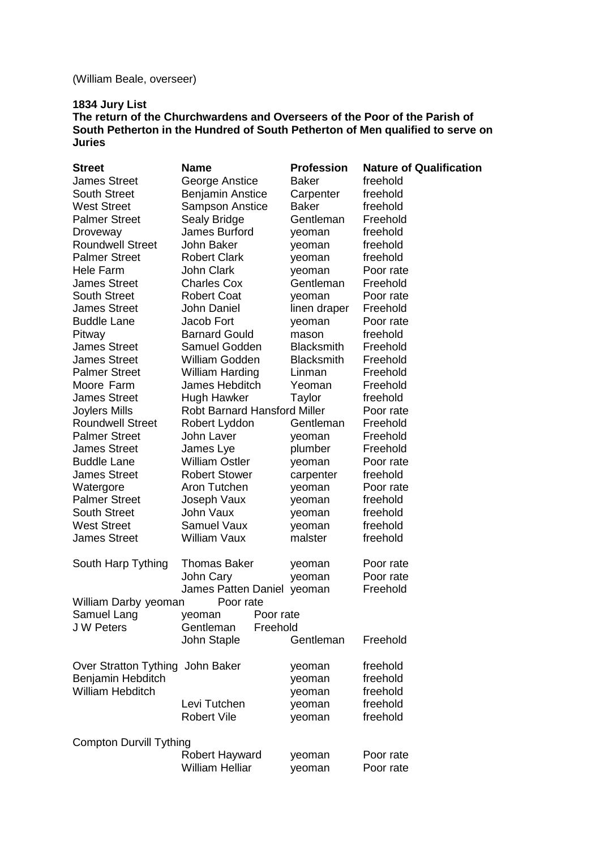# (William Beale, overseer)

## **1834 Jury List**

**The return of the Churchwardens and Overseers of the Poor of the Parish of South Petherton in the Hundred of South Petherton of Men qualified to serve on Juries** 

| <b>Street</b>                     | <b>Name</b>                         | <b>Profession</b> | <b>Nature of Qualification</b> |
|-----------------------------------|-------------------------------------|-------------------|--------------------------------|
| <b>James Street</b>               | George Anstice                      | <b>Baker</b>      | freehold                       |
| <b>South Street</b>               | <b>Benjamin Anstice</b>             | Carpenter         | freehold                       |
| <b>West Street</b>                | <b>Sampson Anstice</b>              | <b>Baker</b>      | freehold                       |
| <b>Palmer Street</b>              | Sealy Bridge                        | Gentleman         | Freehold                       |
| Droveway                          | James Burford                       | yeoman            | freehold                       |
| <b>Roundwell Street</b>           | John Baker                          | yeoman            | freehold                       |
| <b>Palmer Street</b>              | <b>Robert Clark</b>                 | yeoman            | freehold                       |
| <b>Hele Farm</b>                  | <b>John Clark</b>                   | yeoman            | Poor rate                      |
| <b>James Street</b>               | <b>Charles Cox</b>                  | Gentleman         | Freehold                       |
| <b>South Street</b>               | <b>Robert Coat</b>                  | yeoman            | Poor rate                      |
| <b>James Street</b>               | <b>John Daniel</b>                  | linen draper      | Freehold                       |
| <b>Buddle Lane</b>                | Jacob Fort                          | yeoman            | Poor rate                      |
| Pitway                            | <b>Barnard Gould</b>                | mason             | freehold                       |
| <b>James Street</b>               | Samuel Godden                       | <b>Blacksmith</b> | Freehold                       |
| <b>James Street</b>               | <b>William Godden</b>               | <b>Blacksmith</b> | Freehold                       |
| <b>Palmer Street</b>              | <b>William Harding</b>              | Linman            | Freehold                       |
| Moore Farm                        | James Hebditch                      | Yeoman            | Freehold                       |
| <b>James Street</b>               | <b>Hugh Hawker</b>                  | Taylor            | freehold                       |
| Joylers Mills                     | <b>Robt Barnard Hansford Miller</b> |                   | Poor rate                      |
| <b>Roundwell Street</b>           | Robert Lyddon                       | Gentleman         | Freehold                       |
| <b>Palmer Street</b>              | John Laver                          |                   | Freehold                       |
| <b>James Street</b>               |                                     | yeoman            | Freehold                       |
| <b>Buddle Lane</b>                | James Lye<br><b>William Ostler</b>  | plumber           | Poor rate                      |
| <b>James Street</b>               | <b>Robert Stower</b>                | yeoman            | freehold                       |
|                                   | Aron Tutchen                        | carpenter         |                                |
| Watergore<br><b>Palmer Street</b> |                                     | yeoman            | Poor rate                      |
|                                   | Joseph Vaux<br><b>John Vaux</b>     | yeoman            | freehold                       |
| <b>South Street</b>               |                                     | yeoman            | freehold                       |
| <b>West Street</b>                | <b>Samuel Vaux</b>                  | yeoman            | freehold                       |
| <b>James Street</b>               | William Vaux                        | malster           | freehold                       |
| South Harp Tything                | <b>Thomas Baker</b>                 | yeoman            | Poor rate                      |
|                                   | John Cary                           | yeoman            | Poor rate                      |
|                                   | James Patten Daniel yeoman          |                   | Freehold                       |
| William Darby yeoman              | Poor rate                           |                   |                                |
| Samuel Lang                       | Poor rate<br>yeoman                 |                   |                                |
| <b>JW Peters</b>                  | Gentleman<br>Freehold               |                   |                                |
|                                   | John Staple                         | Gentleman         | Freehold                       |
|                                   |                                     |                   |                                |
| Over Stratton Tything John Baker  |                                     | yeoman            | freehold                       |
| Benjamin Hebditch                 |                                     | yeoman            | freehold                       |
| William Hebditch                  |                                     | yeoman            | freehold                       |
|                                   | Levi Tutchen                        | yeoman            | freehold                       |
|                                   | <b>Robert Vile</b>                  | yeoman            | freehold                       |
| <b>Compton Durvill Tything</b>    |                                     |                   |                                |
|                                   | <b>Robert Hayward</b>               | yeoman            | Poor rate                      |
|                                   | <b>William Helliar</b>              | yeoman            | Poor rate                      |
|                                   |                                     |                   |                                |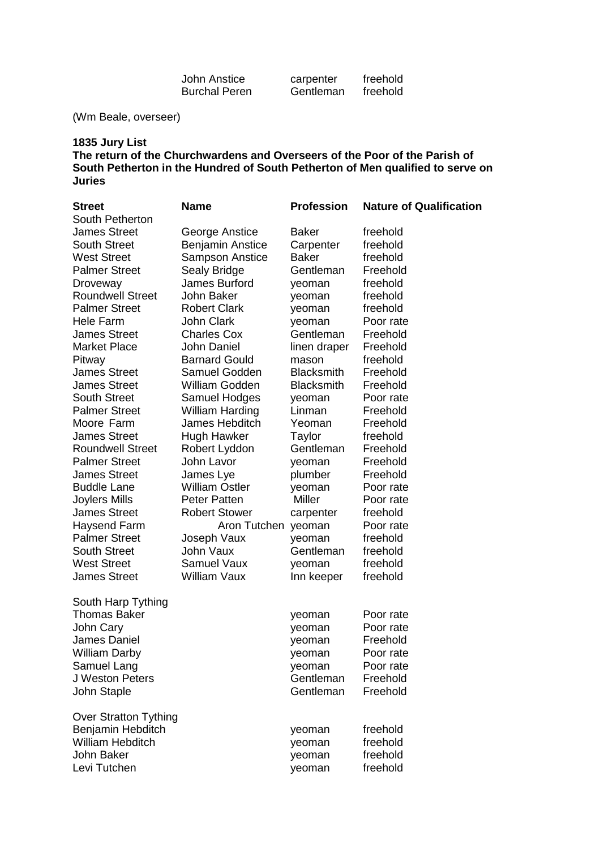| John Anstice         | carpenter | freehold |
|----------------------|-----------|----------|
| <b>Burchal Peren</b> | Gentleman | freehold |

(Wm Beale, overseer)

## **1835 Jury List The return of the Churchwardens and Overseers of the Poor of the Parish of South Petherton in the Hundred of South Petherton of Men qualified to serve on Juries**

| <b>Street</b>                | <b>Name</b>             | <b>Profession</b> | <b>Nature of Qualification</b> |
|------------------------------|-------------------------|-------------------|--------------------------------|
| South Petherton              |                         |                   |                                |
| <b>James Street</b>          | George Anstice          | Baker             | freehold                       |
| <b>South Street</b>          | <b>Benjamin Anstice</b> | Carpenter         | freehold                       |
| <b>West Street</b>           | <b>Sampson Anstice</b>  | <b>Baker</b>      | freehold                       |
| <b>Palmer Street</b>         | Sealy Bridge            | Gentleman         | Freehold                       |
| Droveway                     | James Burford           | yeoman            | freehold                       |
| <b>Roundwell Street</b>      | John Baker              | yeoman            | freehold                       |
| <b>Palmer Street</b>         | <b>Robert Clark</b>     | yeoman            | freehold                       |
| Hele Farm                    | <b>John Clark</b>       | yeoman            | Poor rate                      |
| <b>James Street</b>          | <b>Charles Cox</b>      | Gentleman         | Freehold                       |
| <b>Market Place</b>          | <b>John Daniel</b>      | linen draper      | Freehold                       |
| Pitway                       | <b>Barnard Gould</b>    | mason             | freehold                       |
| <b>James Street</b>          | Samuel Godden           | <b>Blacksmith</b> | Freehold                       |
| <b>James Street</b>          | William Godden          | <b>Blacksmith</b> | Freehold                       |
| <b>South Street</b>          | Samuel Hodges           | yeoman            | Poor rate                      |
| <b>Palmer Street</b>         | William Harding         | Linman            | Freehold                       |
| Moore Farm                   | James Hebditch          | Yeoman            | Freehold                       |
| <b>James Street</b>          | <b>Hugh Hawker</b>      | Taylor            | freehold                       |
| <b>Roundwell Street</b>      | Robert Lyddon           | Gentleman         | Freehold                       |
| <b>Palmer Street</b>         | John Lavor              | yeoman            | Freehold                       |
| <b>James Street</b>          | James Lye               | plumber           | Freehold                       |
| <b>Buddle Lane</b>           | <b>William Ostler</b>   | yeoman            | Poor rate                      |
| Joylers Mills                | <b>Peter Patten</b>     | Miller            | Poor rate                      |
| <b>James Street</b>          | <b>Robert Stower</b>    | carpenter         | freehold                       |
| Haysend Farm                 | Aron Tutchen yeoman     |                   | Poor rate                      |
| <b>Palmer Street</b>         | Joseph Vaux             | yeoman            | freehold                       |
| <b>South Street</b>          | John Vaux               | Gentleman         | freehold                       |
| <b>West Street</b>           | <b>Samuel Vaux</b>      | yeoman            | freehold                       |
| <b>James Street</b>          | William Vaux            | Inn keeper        | freehold                       |
| South Harp Tything           |                         |                   |                                |
| <b>Thomas Baker</b>          |                         | yeoman            | Poor rate                      |
| John Cary                    |                         | yeoman            | Poor rate                      |
| <b>James Daniel</b>          |                         | yeoman            | Freehold                       |
| <b>William Darby</b>         |                         | yeoman            | Poor rate                      |
| Samuel Lang                  |                         | yeoman            | Poor rate                      |
| J Weston Peters              |                         | Gentleman         | Freehold                       |
| John Staple                  |                         | Gentleman         | Freehold                       |
| <b>Over Stratton Tything</b> |                         |                   |                                |
| Benjamin Hebditch            |                         | yeoman            | freehold                       |
| <b>William Hebditch</b>      |                         | yeoman            | freehold                       |
| John Baker                   |                         | yeoman            | freehold                       |
| Levi Tutchen                 |                         | yeoman            | freehold                       |